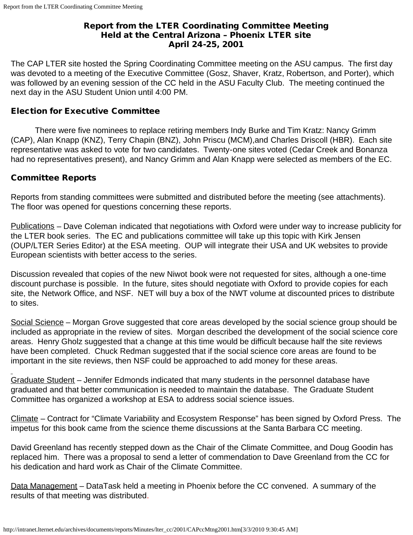## Report from the LTER Coordinating Committee Meeting Held at the Central Arizona – Phoenix LTER site April 24-25, 2001

The CAP LTER site hosted the Spring Coordinating Committee meeting on the ASU campus. The first day was devoted to a meeting of the Executive Committee (Gosz, Shaver, Kratz, Robertson, and Porter), which was followed by an evening session of the CC held in the ASU Faculty Club. The meeting continued the next day in the ASU Student Union until 4:00 PM.

# Election for Executive Committee

 There were five nominees to replace retiring members Indy Burke and Tim Kratz: Nancy Grimm (CAP), Alan Knapp (KNZ), Terry Chapin (BNZ), John Priscu (MCM),and Charles Driscoll (HBR). Each site representative was asked to vote for two candidates. Twenty-one sites voted (Cedar Creek and Bonanza had no representatives present), and Nancy Grimm and Alan Knapp were selected as members of the EC.

# Committee Reports

Reports from standing committees were submitted and distributed before the meeting (see attachments). The floor was opened for questions concerning these reports.

Publications – Dave Coleman indicated that negotiations with Oxford were under way to increase publicity for the LTER book series. The EC and publications committee will take up this topic with Kirk Jensen (OUP/LTER Series Editor) at the ESA meeting. OUP will integrate their USA and UK websites to provide European scientists with better access to the series.

Discussion revealed that copies of the new Niwot book were not requested for sites, although a one-time discount purchase is possible. In the future, sites should negotiate with Oxford to provide copies for each site, the Network Office, and NSF. NET will buy a box of the NWT volume at discounted prices to distribute to sites.

Social Science – Morgan Grove suggested that core areas developed by the social science group should be included as appropriate in the review of sites. Morgan described the development of the social science core areas. Henry Gholz suggested that a change at this time would be difficult because half the site reviews have been completed. Chuck Redman suggested that if the social science core areas are found to be important in the site reviews, then NSF could be approached to add money for these areas.

Graduate Student – Jennifer Edmonds indicated that many students in the personnel database have graduated and that better communication is needed to maintain the database. The Graduate Student Committee has organized a workshop at ESA to address social science issues.

Climate – Contract for "Climate Variability and Ecosystem Response" has been signed by Oxford Press. The impetus for this book came from the science theme discussions at the Santa Barbara CC meeting.

David Greenland has recently stepped down as the Chair of the Climate Committee, and Doug Goodin has replaced him. There was a proposal to send a letter of commendation to Dave Greenland from the CC for his dedication and hard work as Chair of the Climate Committee.

Data Management – DataTask held a meeting in Phoenix before the CC convened. A summary of the results of that meeting was distributed.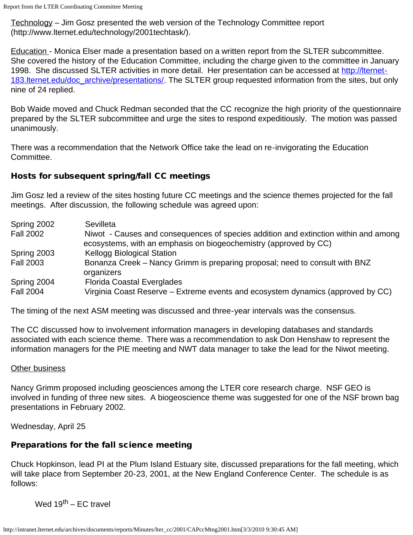Technology – Jim Gosz presented the web version of the Technology Committee report (http://www.lternet.edu/technology/2001techtask/).

Education - Monica Elser made a presentation based on a written report from the SLTER subcommittee. She covered the history of the Education Committee, including the charge given to the committee in January 1998. She discussed SLTER activities in more detail. Her presentation can be accessed at [http://lternet-](http://lternet-183.lternet.edu/doc_archive/presentations/)183. Iternet. edu/doc\_archive/presentations/. The SLTER group requested information from the sites, but only nine of 24 replied.

Bob Waide moved and Chuck Redman seconded that the CC recognize the high priority of the questionnaire prepared by the SLTER subcommittee and urge the sites to respond expeditiously. The motion was passed unanimously.

There was a recommendation that the Network Office take the lead on re-invigorating the Education Committee.

# Hosts for subsequent spring/fall CC meetings

Jim Gosz led a review of the sites hosting future CC meetings and the science themes projected for the fall meetings. After discussion, the following schedule was agreed upon:

| Spring 2002      | Sevilleta                                                                                                                                               |
|------------------|---------------------------------------------------------------------------------------------------------------------------------------------------------|
| <b>Fall 2002</b> | Niwot - Causes and consequences of species addition and extinction within and among<br>ecosystems, with an emphasis on biogeochemistry (approved by CC) |
| Spring 2003      | <b>Kellogg Biological Station</b>                                                                                                                       |
| <b>Fall 2003</b> | Bonanza Creek – Nancy Grimm is preparing proposal; need to consult with BNZ<br>organizers                                                               |
| Spring 2004      | <b>Florida Coastal Everglades</b>                                                                                                                       |
| <b>Fall 2004</b> | Virginia Coast Reserve – Extreme events and ecosystem dynamics (approved by CC)                                                                         |

The timing of the next ASM meeting was discussed and three-year intervals was the consensus.

The CC discussed how to involvement information managers in developing databases and standards associated with each science theme. There was a recommendation to ask Don Henshaw to represent the information managers for the PIE meeting and NWT data manager to take the lead for the Niwot meeting.

### Other business

Nancy Grimm proposed including geosciences among the LTER core research charge. NSF GEO is involved in funding of three new sites. A biogeoscience theme was suggested for one of the NSF brown bag presentations in February 2002.

Wednesday, April 25

# Preparations for the fall science meeting

Chuck Hopkinson, lead PI at the Plum Island Estuary site, discussed preparations for the fall meeting, which will take place from September 20-23, 2001, at the New England Conference Center. The schedule is as follows:

Wed  $19^{th}$  – EC travel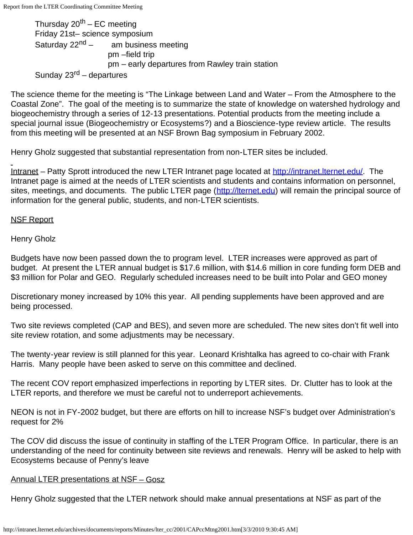Thursday  $20^{th}$  – EC meeting Friday 21st– science symposium Saturday  $22^{nd}$  – am business meeting pm –field trip pm – early departures from Rawley train station Sunday  $23^{\text{rd}}$  – departures

The science theme for the meeting is "The Linkage between Land and Water – From the Atmosphere to the Coastal Zone". The goal of the meeting is to summarize the state of knowledge on watershed hydrology and biogeochemistry through a series of 12-13 presentations. Potential products from the meeting include a special journal issue (Biogeochemistry or Ecosystems?) and a Bioscience-type review article. The results from this meeting will be presented at an NSF Brown Bag symposium in February 2002.

Henry Gholz suggested that substantial representation from non-LTER sites be included.

Intranet – Patty Sprott introduced the new LTER Intranet page located at [http://intranet.lternet.edu/.](http://intranet.lternet.edu/) The Intranet page is aimed at the needs of LTER scientists and students and contains information on personnel, sites, meetings, and documents. The public LTER page ([http://lternet.edu](http://lternet.edu/)) will remain the principal source of information for the general public, students, and non-LTER scientists.

## NSF Report

Henry Gholz

Budgets have now been passed down the to program level. LTER increases were approved as part of budget. At present the LTER annual budget is \$17.6 million, with \$14.6 million in core funding form DEB and \$3 million for Polar and GEO. Regularly scheduled increases need to be built into Polar and GEO money

Discretionary money increased by 10% this year. All pending supplements have been approved and are being processed.

Two site reviews completed (CAP and BES), and seven more are scheduled. The new sites don't fit well into site review rotation, and some adjustments may be necessary.

The twenty-year review is still planned for this year. Leonard Krishtalka has agreed to co-chair with Frank Harris. Many people have been asked to serve on this committee and declined.

The recent COV report emphasized imperfections in reporting by LTER sites. Dr. Clutter has to look at the LTER reports, and therefore we must be careful not to underreport achievements.

NEON is not in FY-2002 budget, but there are efforts on hill to increase NSF's budget over Administration's request for 2%

The COV did discuss the issue of continuity in staffing of the LTER Program Office. In particular, there is an understanding of the need for continuity between site reviews and renewals. Henry will be asked to help with Ecosystems because of Penny's leave

### Annual LTER presentations at NSF – Gosz

Henry Gholz suggested that the LTER network should make annual presentations at NSF as part of the